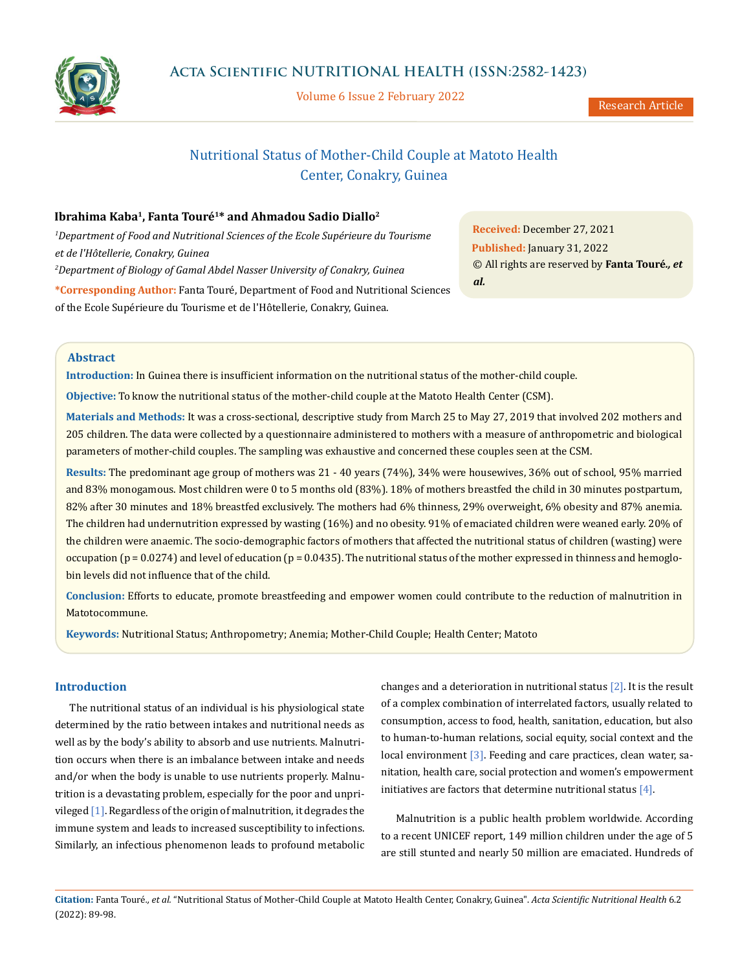

Volume 6 Issue 2 February 2022

Research Article

# Nutritional Status of Mother-Child Couple at Matoto Health Center, Conakry, Guinea

## **Ibrahima Kaba1, Fanta Touré1\* and Ahmadou Sadio Diallo2**

<sup>1</sup>Department of Food and Nutritional Sciences of the Ecole Supérieure du Tourisme *et de l'Hôtellerie, Conakry, Guinea 2 Department of Biology of Gamal Abdel Nasser University of Conakry, Guinea* **\*Corresponding Author:** Fanta Touré, Department of Food and Nutritional Sciences of the Ecole Supérieure du Tourisme et de l'Hôtellerie, Conakry, Guinea.

**Received:** December 27, 2021 **Published:** January 31, 2022 © All rights are reserved by **Fanta Touré***., et al.*

### **Abstract**

**Introduction:** In Guinea there is insufficient information on the nutritional status of the mother-child couple.

**Objective:** To know the nutritional status of the mother-child couple at the Matoto Health Center (CSM).

**Materials and Methods:** It was a cross-sectional, descriptive study from March 25 to May 27, 2019 that involved 202 mothers and 205 children. The data were collected by a questionnaire administered to mothers with a measure of anthropometric and biological parameters of mother-child couples. The sampling was exhaustive and concerned these couples seen at the CSM.

**Results:** The predominant age group of mothers was 21 - 40 years (74%), 34% were housewives, 36% out of school, 95% married and 83% monogamous. Most children were 0 to 5 months old (83%). 18% of mothers breastfed the child in 30 minutes postpartum, 82% after 30 minutes and 18% breastfed exclusively. The mothers had 6% thinness, 29% overweight, 6% obesity and 87% anemia. The children had undernutrition expressed by wasting (16%) and no obesity. 91% of emaciated children were weaned early. 20% of the children were anaemic. The socio-demographic factors of mothers that affected the nutritional status of children (wasting) were occupation ( $p = 0.0274$ ) and level of education ( $p = 0.0435$ ). The nutritional status of the mother expressed in thinness and hemoglobin levels did not influence that of the child.

**Conclusion:** Efforts to educate, promote breastfeeding and empower women could contribute to the reduction of malnutrition in Matotocommune.

**Keywords:** Nutritional Status; Anthropometry; Anemia; Mother-Child Couple; Health Center; Matoto

## **Introduction**

The nutritional status of an individual is his physiological state determined by the ratio between intakes and nutritional needs as well as by the body's ability to absorb and use nutrients. Malnutrition occurs when there is an imbalance between intake and needs and/or when the body is unable to use nutrients properly. Malnutrition is a devastating problem, especially for the poor and unprivileged  $[1]$ . Regardless of the origin of malnutrition, it degrades the immune system and leads to increased susceptibility to infections. Similarly, an infectious phenomenon leads to profound metabolic

changes and a deterioration in nutritional status [2]. It is the result of a complex combination of interrelated factors, usually related to consumption, access to food, health, sanitation, education, but also to human-to-human relations, social equity, social context and the local environment [3]. Feeding and care practices, clean water, sanitation, health care, social protection and women's empowerment initiatives are factors that determine nutritional status  $[4]$ .

Malnutrition is a public health problem worldwide. According to a recent UNICEF report, 149 million children under the age of 5 are still stunted and nearly 50 million are emaciated. Hundreds of

**Citation:** Fanta Touré*., et al.* "Nutritional Status of Mother-Child Couple at Matoto Health Center, Conakry, Guinea". *Acta Scientific Nutritional Health* 6.2 (2022): 89-98.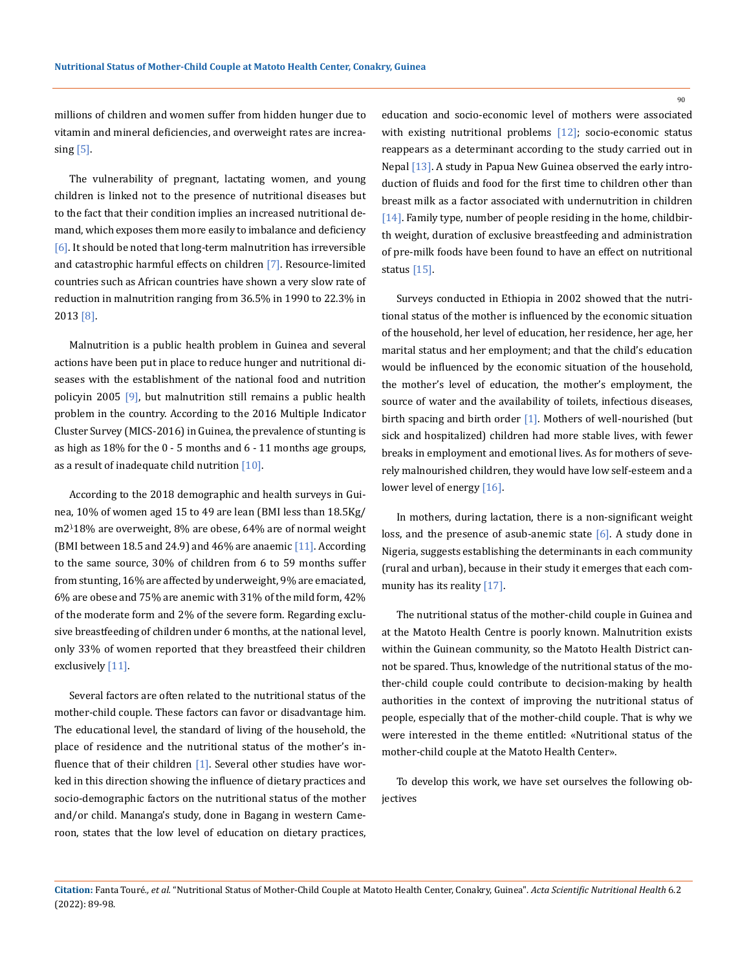millions of children and women suffer from hidden hunger due to vitamin and mineral deficiencies, and overweight rates are increa- $\sin g$  [5].

The vulnerability of pregnant, lactating women, and young children is linked not to the presence of nutritional diseases but to the fact that their condition implies an increased nutritional demand, which exposes them more easily to imbalance and deficiency [6]. It should be noted that long-term malnutrition has irreversible and catastrophic harmful effects on children [7]. Resource-limited countries such as African countries have shown a very slow rate of reduction in malnutrition ranging from 36.5% in 1990 to 22.3% in 2013 [8].

Malnutrition is a public health problem in Guinea and several actions have been put in place to reduce hunger and nutritional diseases with the establishment of the national food and nutrition policyin 2005 [9], but malnutrition still remains a public health problem in the country. According to the 2016 Multiple Indicator Cluster Survey (MICS-2016) in Guinea, the prevalence of stunting is as high as 18% for the 0 - 5 months and 6 - 11 months age groups, as a result of inadequate child nutrition [10].

According to the 2018 demographic and health surveys in Guinea, 10% of women aged 15 to 49 are lean (BMI less than 18.5Kg/ m2),18% are overweight, 8% are obese, 64% are of normal weight (BMI between 18.5 and 24.9) and 46% are anaemic [11]. According to the same source, 30% of children from 6 to 59 months suffer from stunting, 16% are affected by underweight, 9% are emaciated, 6% are obese and 75% are anemic with 31% of the mild form, 42% of the moderate form and 2% of the severe form. Regarding exclusive breastfeeding of children under 6 months, at the national level, only 33% of women reported that they breastfeed their children exclusively [11].

Several factors are often related to the nutritional status of the mother-child couple. These factors can favor or disadvantage him. The educational level, the standard of living of the household, the place of residence and the nutritional status of the mother's influence that of their children  $[1]$ . Several other studies have worked in this direction showing the influence of dietary practices and socio-demographic factors on the nutritional status of the mother and/or child. Mananga's study, done in Bagang in western Cameroon, states that the low level of education on dietary practices, education and socio-economic level of mothers were associated with existing nutritional problems [12]; socio-economic status reappears as a determinant according to the study carried out in Nepal [13]. A study in Papua New Guinea observed the early introduction of fluids and food for the first time to children other than breast milk as a factor associated with undernutrition in children [14]. Family type, number of people residing in the home, childbirth weight, duration of exclusive breastfeeding and administration of pre-milk foods have been found to have an effect on nutritional status [15].

Surveys conducted in Ethiopia in 2002 showed that the nutritional status of the mother is influenced by the economic situation of the household, her level of education, her residence, her age, her marital status and her employment; and that the child's education would be influenced by the economic situation of the household, the mother's level of education, the mother's employment, the source of water and the availability of toilets, infectious diseases, birth spacing and birth order [1]. Mothers of well-nourished (but sick and hospitalized) children had more stable lives, with fewer breaks in employment and emotional lives. As for mothers of severely malnourished children, they would have low self-esteem and a lower level of energy [16].

In mothers, during lactation, there is a non-significant weight loss, and the presence of asub-anemic state [6]. A study done in Nigeria, suggests establishing the determinants in each community (rural and urban), because in their study it emerges that each community has its reality [17].

The nutritional status of the mother-child couple in Guinea and at the Matoto Health Centre is poorly known. Malnutrition exists within the Guinean community, so the Matoto Health District cannot be spared. Thus, knowledge of the nutritional status of the mother-child couple could contribute to decision-making by health authorities in the context of improving the nutritional status of people, especially that of the mother-child couple. That is why we were interested in the theme entitled: «Nutritional status of the mother-child couple at the Matoto Health Center».

To develop this work, we have set ourselves the following objectives

**Citation:** Fanta Touré*., et al.* "Nutritional Status of Mother-Child Couple at Matoto Health Center, Conakry, Guinea". *Acta Scientific Nutritional Health* 6.2 (2022): 89-98.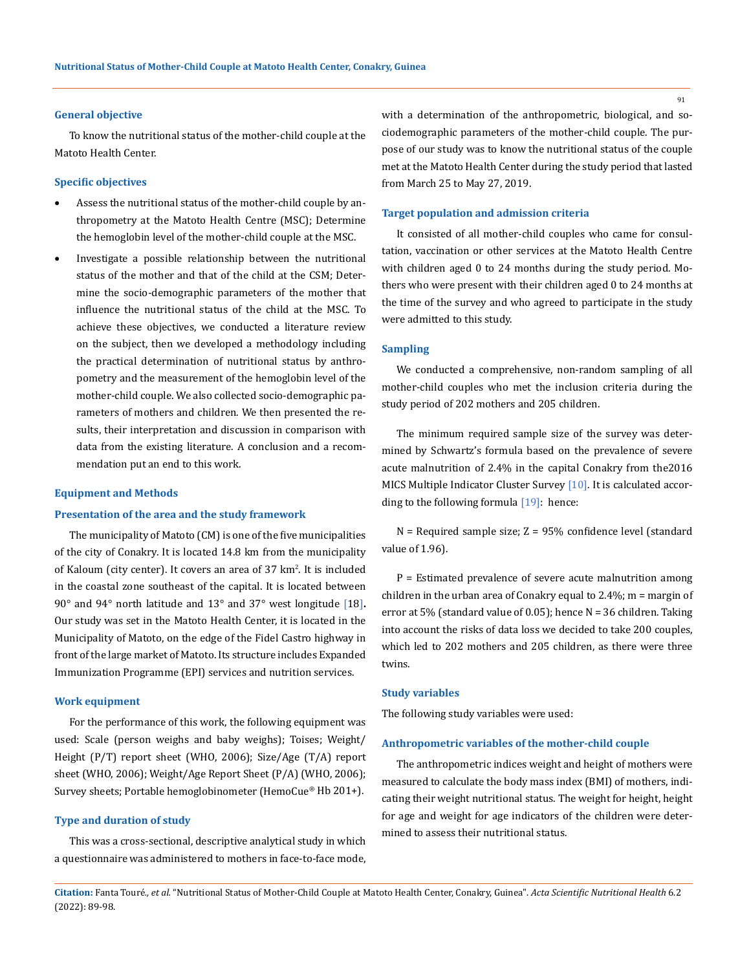#### **General objective**

To know the nutritional status of the mother-child couple at the Matoto Health Center.

#### **Specific objectives**

- Assess the nutritional status of the mother-child couple by anthropometry at the Matoto Health Centre (MSC); Determine the hemoglobin level of the mother-child couple at the MSC.
- Investigate a possible relationship between the nutritional status of the mother and that of the child at the CSM; Determine the socio-demographic parameters of the mother that influence the nutritional status of the child at the MSC. To achieve these objectives, we conducted a literature review on the subject, then we developed a methodology including the practical determination of nutritional status by anthropometry and the measurement of the hemoglobin level of the mother-child couple. We also collected socio-demographic parameters of mothers and children. We then presented the results, their interpretation and discussion in comparison with data from the existing literature. A conclusion and a recommendation put an end to this work.

#### **Equipment and Methods**

#### **Presentation of the area and the study framework**

The municipality of Matoto (CM) is one of the five municipalities of the city of Conakry. It is located 14.8 km from the municipality of Kaloum (city center). It covers an area of 37 km<sup>2</sup> . It is included in the coastal zone southeast of the capital. It is located between 90° and 94° north latitude and 13° and 37° west longitude [18]**.** Our study was set in the Matoto Health Center, it is located in the Municipality of Matoto, on the edge of the Fidel Castro highway in front of the large market of Matoto. Its structure includes Expanded Immunization Programme (EPI) services and nutrition services.

#### **Work equipment**

For the performance of this work, the following equipment was used: Scale (person weighs and baby weighs); Toises; Weight/ Height (P/T) report sheet (WHO, 2006); Size/Age (T/A) report sheet (WHO, 2006); Weight/Age Report Sheet (P/A) (WHO, 2006); Survey sheets; Portable hemoglobinometer (HemoCue® Hb 201+).

#### **Type and duration of study**

This was a cross-sectional, descriptive analytical study in which a questionnaire was administered to mothers in face-to-face mode, with a determination of the anthropometric, biological, and sociodemographic parameters of the mother-child couple. The purpose of our study was to know the nutritional status of the couple met at the Matoto Health Center during the study period that lasted from March 25 to May 27, 2019.

#### **Target population and admission criteria**

It consisted of all mother-child couples who came for consultation, vaccination or other services at the Matoto Health Centre with children aged 0 to 24 months during the study period. Mothers who were present with their children aged 0 to 24 months at the time of the survey and who agreed to participate in the study were admitted to this study.

#### **Sampling**

We conducted a comprehensive, non-random sampling of all mother-child couples who met the inclusion criteria during the study period of 202 mothers and 205 children.

The minimum required sample size of the survey was determined by Schwartz's formula based on the prevalence of severe acute malnutrition of 2.4% in the capital Conakry from the2016 MICS Multiple Indicator Cluster Survey [10]. It is calculated according to the following formula [19]: hence:

 $N =$  Required sample size;  $Z = 95%$  confidence level (standard value of 1.96).

P = Estimated prevalence of severe acute malnutrition among children in the urban area of Conakry equal to 2.4%; m = margin of error at 5% (standard value of 0.05); hence N = 36 children. Taking into account the risks of data loss we decided to take 200 couples, which led to 202 mothers and 205 children, as there were three twins.

### **Study variables**

The following study variables were used:

#### **Anthropometric variables of the mother-child couple**

The anthropometric indices weight and height of mothers were measured to calculate the body mass index (BMI) of mothers, indicating their weight nutritional status. The weight for height, height for age and weight for age indicators of the children were determined to assess their nutritional status.

**Citation:** Fanta Touré*., et al.* "Nutritional Status of Mother-Child Couple at Matoto Health Center, Conakry, Guinea". *Acta Scientific Nutritional Health* 6.2 (2022): 89-98.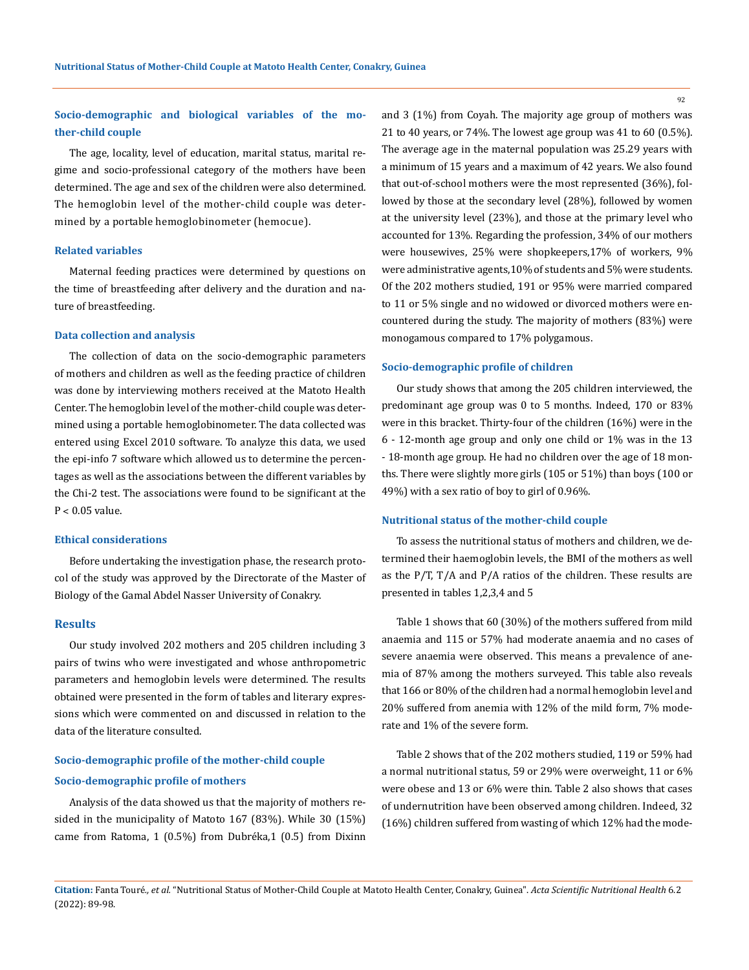## **Socio-demographic and biological variables of the mother-child couple**

The age, locality, level of education, marital status, marital regime and socio-professional category of the mothers have been determined. The age and sex of the children were also determined. The hemoglobin level of the mother-child couple was determined by a portable hemoglobinometer (hemocue).

#### **Related variables**

Maternal feeding practices were determined by questions on the time of breastfeeding after delivery and the duration and nature of breastfeeding.

#### **Data collection and analysis**

The collection of data on the socio-demographic parameters of mothers and children as well as the feeding practice of children was done by interviewing mothers received at the Matoto Health Center. The hemoglobin level of the mother-child couple was determined using a portable hemoglobinometer. The data collected was entered using Excel 2010 software. To analyze this data, we used the epi-info 7 software which allowed us to determine the percentages as well as the associations between the different variables by the Chi-2 test. The associations were found to be significant at the  $P < 0.05$  value.

#### **Ethical considerations**

Before undertaking the investigation phase, the research protocol of the study was approved by the Directorate of the Master of Biology of the Gamal Abdel Nasser University of Conakry.

#### **Results**

Our study involved 202 mothers and 205 children including 3 pairs of twins who were investigated and whose anthropometric parameters and hemoglobin levels were determined. The results obtained were presented in the form of tables and literary expressions which were commented on and discussed in relation to the data of the literature consulted.

## **Socio-demographic profile of the mother-child couple**

#### **Socio-demographic profile of mothers**

Analysis of the data showed us that the majority of mothers resided in the municipality of Matoto 167 (83%). While 30 (15%) came from Ratoma, 1 (0.5%) from Dubréka,1 (0.5) from Dixinn and 3 (1%) from Coyah. The majority age group of mothers was 21 to 40 years, or 74%. The lowest age group was 41 to 60 (0.5%). The average age in the maternal population was 25.29 years with a minimum of 15 years and a maximum of 42 years. We also found that out-of-school mothers were the most represented (36%), followed by those at the secondary level (28%), followed by women at the university level (23%), and those at the primary level who accounted for 13%. Regarding the profession, 34% of our mothers were housewives, 25% were shopkeepers,17% of workers, 9% were administrative agents,10% of students and 5% were students. Of the 202 mothers studied, 191 or 95% were married compared to 11 or 5% single and no widowed or divorced mothers were encountered during the study. The majority of mothers (83%) were monogamous compared to 17% polygamous.

#### **Socio-demographic profile of children**

Our study shows that among the 205 children interviewed, the predominant age group was 0 to 5 months. Indeed, 170 or 83% were in this bracket. Thirty-four of the children (16%) were in the 6 - 12-month age group and only one child or 1% was in the 13 - 18-month age group. He had no children over the age of 18 months. There were slightly more girls (105 or 51%) than boys (100 or 49%) with a sex ratio of boy to girl of 0.96%.

#### **Nutritional status of the mother-child couple**

To assess the nutritional status of mothers and children, we determined their haemoglobin levels, the BMI of the mothers as well as the P/T, T/A and P/A ratios of the children. These results are presented in tables 1,2,3,4 and 5

Table 1 shows that 60 (30%) of the mothers suffered from mild anaemia and 115 or 57% had moderate anaemia and no cases of severe anaemia were observed. This means a prevalence of anemia of 87% among the mothers surveyed. This table also reveals that 166 or 80% of the children had a normal hemoglobin level and 20% suffered from anemia with 12% of the mild form, 7% moderate and 1% of the severe form.

Table 2 shows that of the 202 mothers studied, 119 or 59% had a normal nutritional status, 59 or 29% were overweight, 11 or 6% were obese and 13 or 6% were thin. Table 2 also shows that cases of undernutrition have been observed among children. Indeed, 32 (16%) children suffered from wasting of which 12% had the mode-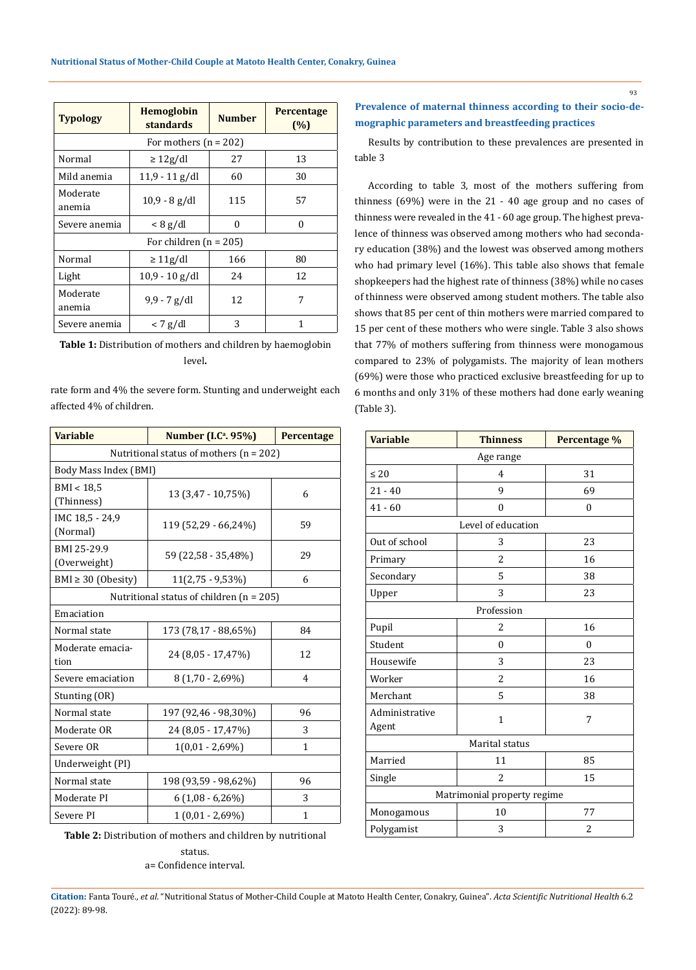| <b>Typology</b>          | <b>Hemoglobin</b><br>standards | <b>Number</b> | Percentage<br>(%) |  |
|--------------------------|--------------------------------|---------------|-------------------|--|
| For mothers $(n = 202)$  |                                |               |                   |  |
| Normal                   | $\geq 12g/dl$                  | 27            | 13                |  |
| Mild anemia              | $11,9 - 11$ g/dl               | 60            | 30                |  |
| Moderate<br>anemia       | $10,9 - 8$ g/dl                | 115           | 57                |  |
| Severe anemia            | $< 8 \text{ g/dl}$             | 0             | 0                 |  |
| For children $(n = 205)$ |                                |               |                   |  |
| Normal                   | $\geq 11g/dl$                  | 166           | 80                |  |
| Light                    | $10,9 - 10$ g/dl               | 24            | 12                |  |
| Moderate<br>anemia       | $9,9 - 7$ g/dl                 | 12            | 7                 |  |
| Severe anemia            | $< 7$ g/dl                     | 3             | 1                 |  |

**Table 1:** Distribution of mothers and children by haemoglobin level**.**

rate form and 4% the severe form. Stunting and underweight each affected 4% of children.

| <b>Variable</b>                             | Number (I.C <sup>a</sup> . 95%)<br>Percentage |              |  |  |
|---------------------------------------------|-----------------------------------------------|--------------|--|--|
| Nutritional status of mothers ( $n = 202$ ) |                                               |              |  |  |
| Body Mass Index (BMI)                       |                                               |              |  |  |
| BMI < 18.5<br>(Thinness)                    | 13 (3,47 - 10,75%)                            | 6            |  |  |
| IMC 18,5 - 24,9<br>(Normal)                 | 119 (52,29 - 66,24%)                          | 59           |  |  |
| BMI 25-29.9<br>(Overweight)                 | 59 (22,58 - 35,48%)                           | 29           |  |  |
| BMI $\geq$ 30 (Obesity)                     | $11(2,75 - 9,53\%)$                           | 6            |  |  |
|                                             | Nutritional status of children $(n = 205)$    |              |  |  |
| Emaciation                                  |                                               |              |  |  |
| Normal state                                | 173 (78,17 - 88,65%)                          | 84           |  |  |
| Moderate emacia-<br>tion                    | 24 (8,05 - 17,47%)                            | 12           |  |  |
| Severe emaciation                           | $8(1,70 - 2,69\%)$                            | 4            |  |  |
| Stunting (OR)                               |                                               |              |  |  |
| Normal state                                | 197 (92,46 - 98,30%)                          | 96           |  |  |
| Moderate OR                                 | 24 (8,05 - 17,47%)                            | 3            |  |  |
| Severe OR                                   | $1(0,01 - 2,69%)$                             | $\mathbf{1}$ |  |  |
| Underweight (PI)                            |                                               |              |  |  |
| Normal state                                | 198 (93,59 - 98,62%)                          | 96           |  |  |
| Moderate PI                                 | $6(1,08 - 6,26\%)$                            | 3            |  |  |
| Severe PI                                   | $1(0,01 - 2,69\%)$                            | $\mathbf{1}$ |  |  |

**Table 2:** Distribution of mothers and children by nutritional

status.

a= Confidence interval.

## **Prevalence of maternal thinness according to their socio-demographic parameters and breastfeeding practices**

Results by contribution to these prevalences are presented in table 3

According to table 3, most of the mothers suffering from thinness (69%) were in the 21 - 40 age group and no cases of thinness were revealed in the 41 - 60 age group. The highest prevalence of thinness was observed among mothers who had secondary education (38%) and the lowest was observed among mothers who had primary level (16%). This table also shows that female shopkeepers had the highest rate of thinness (38%) while no cases of thinness were observed among student mothers. The table also shows that 85 per cent of thin mothers were married compared to 15 per cent of these mothers who were single. Table 3 also shows that 77% of mothers suffering from thinness were monogamous compared to 23% of polygamists. The majority of lean mothers (69%) were those who practiced exclusive breastfeeding for up to 6 months and only 31% of these mothers had done early weaning (Table 3).

| <b>Variable</b>                | <b>Thinness</b>    | Percentage % |  |  |
|--------------------------------|--------------------|--------------|--|--|
|                                | Age range          |              |  |  |
| $\leq 20$                      | 4                  | 31           |  |  |
| $21 - 40$                      | 9                  | 69           |  |  |
| $41 - 60$                      | $\theta$           | $\theta$     |  |  |
|                                | Level of education |              |  |  |
| Out of school                  | 3                  | 23           |  |  |
| Primary                        | $\overline{2}$     | 16           |  |  |
| Secondary                      | 5                  | 38           |  |  |
| Upper                          | 3                  | 23           |  |  |
| Profession                     |                    |              |  |  |
| Pupil                          | 2                  | 16           |  |  |
| Student                        | $\theta$           | $\theta$     |  |  |
| Housewife                      | 3                  | 23           |  |  |
| Worker                         | $\overline{c}$     | 16           |  |  |
| Merchant                       | 5                  | 38           |  |  |
| Administrative                 | 1                  | 7            |  |  |
| Agent                          |                    |              |  |  |
| Marital status                 |                    |              |  |  |
| Married                        | 11                 | 85           |  |  |
| 15<br>$\overline{2}$<br>Single |                    |              |  |  |
| Matrimonial property regime    |                    |              |  |  |
| Monogamous                     | 10                 | 77           |  |  |
| Polygamist                     | 3                  | 2            |  |  |

**Citation:** Fanta Touré*., et al.* "Nutritional Status of Mother-Child Couple at Matoto Health Center, Conakry, Guinea". *Acta Scientific Nutritional Health* 6.2 (2022): 89-98.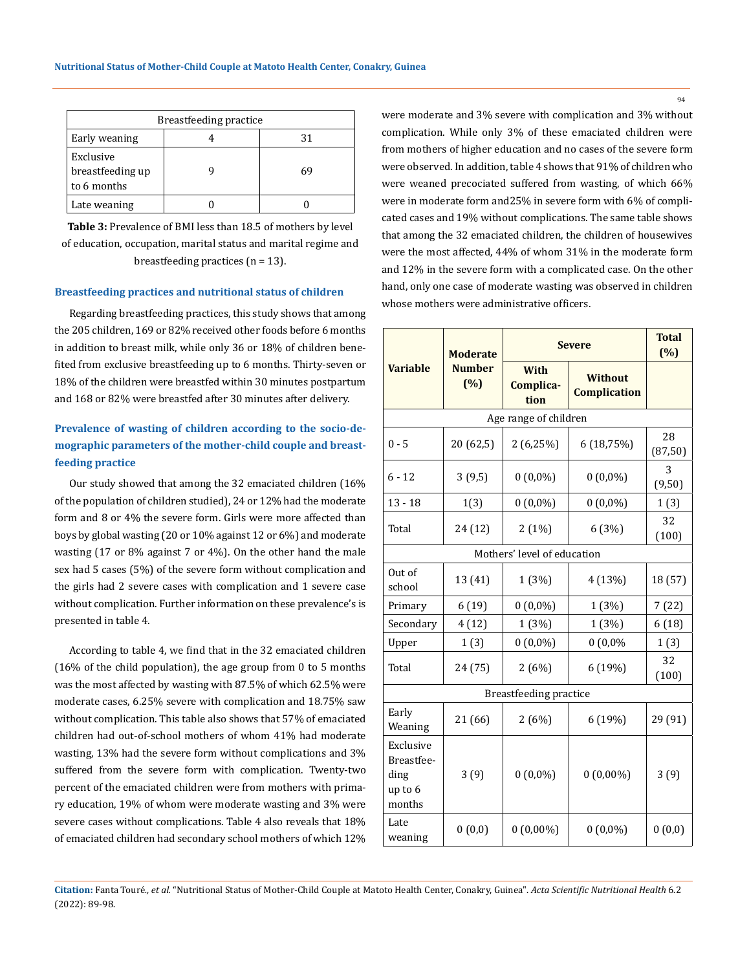| Breastfeeding practice                       |  |    |  |
|----------------------------------------------|--|----|--|
| Early weaning                                |  | 31 |  |
| Exclusive<br>breastfeeding up<br>to 6 months |  | 69 |  |
| Late weaning                                 |  |    |  |

**Table 3:** Prevalence of BMI less than 18.5 of mothers by level of education, occupation, marital status and marital regime and breastfeeding practices ( $n = 13$ ).

## **Breastfeeding practices and nutritional status of children**

Regarding breastfeeding practices, this study shows that among the 205 children, 169 or 82% received other foods before 6 months in addition to breast milk, while only 36 or 18% of children benefited from exclusive breastfeeding up to 6 months. Thirty-seven or 18% of the children were breastfed within 30 minutes postpartum and 168 or 82% were breastfed after 30 minutes after delivery.

## **Prevalence of wasting of children according to the socio-demographic parameters of the mother-child couple and breastfeeding practice**

Our study showed that among the 32 emaciated children (16% of the population of children studied), 24 or 12% had the moderate form and 8 or 4% the severe form. Girls were more affected than boys by global wasting (20 or 10% against 12 or 6%) and moderate wasting (17 or 8% against 7 or 4%). On the other hand the male sex had 5 cases (5%) of the severe form without complication and the girls had 2 severe cases with complication and 1 severe case without complication. Further information on these prevalence's is presented in table 4.

According to table 4, we find that in the 32 emaciated children (16% of the child population), the age group from 0 to 5 months was the most affected by wasting with 87.5% of which 62.5% were moderate cases, 6.25% severe with complication and 18.75% saw without complication. This table also shows that 57% of emaciated children had out-of-school mothers of whom 41% had moderate wasting, 13% had the severe form without complications and 3% suffered from the severe form with complication. Twenty-two percent of the emaciated children were from mothers with primary education, 19% of whom were moderate wasting and 3% were severe cases without complications. Table 4 also reveals that 18% of emaciated children had secondary school mothers of which 12% were moderate and 3% severe with complication and 3% without complication. While only 3% of these emaciated children were from mothers of higher education and no cases of the severe form were observed. In addition, table 4 shows that 91% of children who were weaned precociated suffered from wasting, of which 66% were in moderate form and25% in severe form with 6% of complicated cases and 19% without complications. The same table shows that among the 32 emaciated children, the children of housewives were the most affected, 44% of whom 31% in the moderate form and 12% in the severe form with a complicated case. On the other hand, only one case of moderate wasting was observed in children whose mothers were administrative officers.

|                                                      | <b>Moderate</b> | <b>Severe</b>               | <b>Total</b><br>(%)                   |                |
|------------------------------------------------------|-----------------|-----------------------------|---------------------------------------|----------------|
| <b>Variable</b><br><b>Number</b><br>(%)              |                 | With<br>Complica-<br>tion   | <b>Without</b><br><b>Complication</b> |                |
|                                                      |                 | Age range of children       |                                       |                |
| $0 - 5$                                              | 20 (62,5)       | 2 (6,25%)                   | 6 (18,75%)                            | 28<br>(87, 50) |
| $6 - 12$                                             | 3(9,5)          | $0(0,0\%)$                  | $0(0,0\%)$                            | 3<br>(9,50)    |
| $13 - 18$                                            | 1(3)            | $0(0,0\%)$                  | $0(0,0\%)$                            | 1(3)           |
| Total                                                | 24 (12)         | 2(1%)                       | 6(3%)                                 | 32<br>(100)    |
|                                                      |                 | Mothers' level of education |                                       |                |
| Out of<br>school                                     | 13 (41)         | 1(3%)                       | 4 (13%)                               | 18 (57)        |
| Primary                                              | 6(19)           | $0(0,0\%)$                  | 1 (3%)                                | 7(22)          |
| Secondary                                            | 4(12)           | 1 (3%)                      | 1 (3%)                                | 6(18)          |
| Upper                                                | 1(3)            | $0(0,0\%)$                  | 0(0,0%                                | 1(3)           |
| Total                                                | 24 (75)         | 2(6%)                       | 6 (19%)                               | 32<br>(100)    |
| <b>Breastfeeding practice</b>                        |                 |                             |                                       |                |
| Early<br>Weaning                                     | 21 (66)         | 2(6%)                       | 6 (19%)                               | 29 (91)        |
| Exclusive<br>Breastfee-<br>ding<br>up to 6<br>months | 3(9)            | $0(0,0\%)$                  | $0(0,00\%)$                           | 3(9)           |
| Late<br>weaning                                      | 0(0,0)          | $0(0,00\%)$                 | $0(0,0\%)$                            | 0(0,0)         |

**Citation:** Fanta Touré*., et al.* "Nutritional Status of Mother-Child Couple at Matoto Health Center, Conakry, Guinea". *Acta Scientific Nutritional Health* 6.2 (2022): 89-98.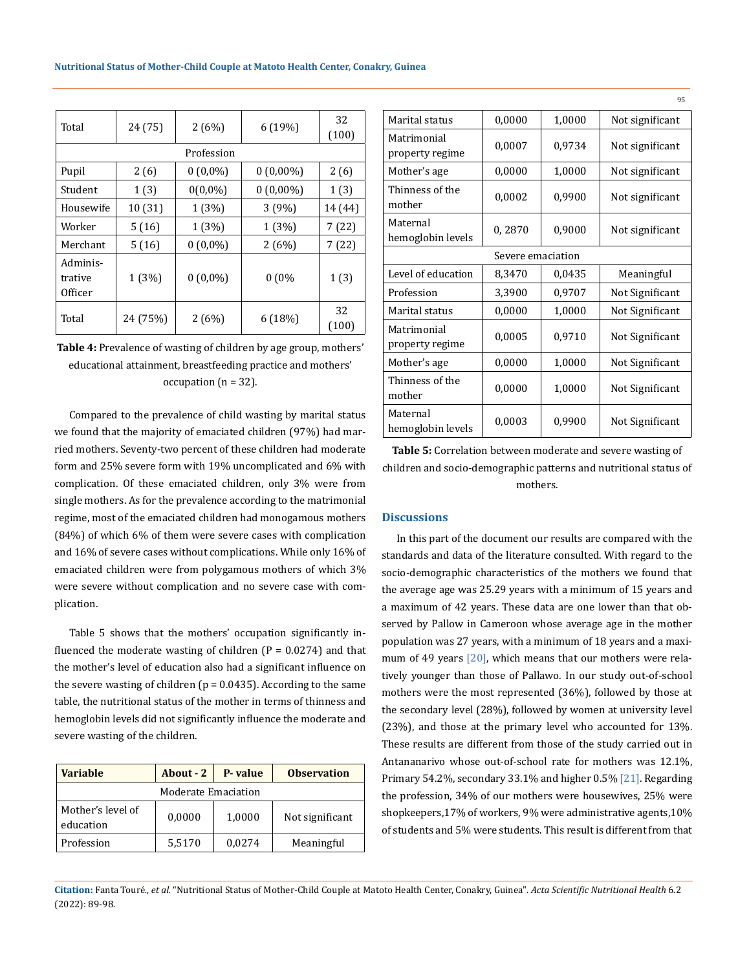| Total                          | 24 (75)  | 2(6%)      | 6 (19%)     | 32<br>(100) |
|--------------------------------|----------|------------|-------------|-------------|
|                                |          | Profession |             |             |
| Pupil                          | 2(6)     | $0(0,0\%)$ | $0(0,00\%)$ | 2(6)        |
| Student                        | 1(3)     | $0(0,0\%)$ | $0(0,00\%)$ | 1(3)        |
| Housewife                      | 10 (31)  | 1 (3%)     | 3(9%)       | 14 (44)     |
| Worker                         | 5(16)    | 1 (3%)     | 1 (3%)      | 7(22)       |
| Merchant                       | 5(16)    | $0(0,0\%)$ | 2(6%)       | 7(22)       |
| Adminis-<br>trative<br>Officer | 1(3%)    | $0(0,0\%)$ | 0(0%        | 1(3)        |
| Total                          | 24 (75%) | 2(6%)      | 6 (18%)     | 32<br>(100) |

**Table 4:** Prevalence of wasting of children by age group, mothers' educational attainment, breastfeeding practice and mothers' occupation (n = 32).

Compared to the prevalence of child wasting by marital status we found that the majority of emaciated children (97%) had married mothers. Seventy-two percent of these children had moderate form and 25% severe form with 19% uncomplicated and 6% with complication. Of these emaciated children, only 3% were from single mothers. As for the prevalence according to the matrimonial regime, most of the emaciated children had monogamous mothers (84%) of which 6% of them were severe cases with complication and 16% of severe cases without complications. While only 16% of emaciated children were from polygamous mothers of which 3% were severe without complication and no severe case with complication.

Table 5 shows that the mothers' occupation significantly influenced the moderate wasting of children  $(P = 0.0274)$  and that the mother's level of education also had a significant influence on the severe wasting of children ( $p = 0.0435$ ). According to the same table, the nutritional status of the mother in terms of thinness and hemoglobin levels did not significantly influence the moderate and severe wasting of the children.

| <b>Variable</b>                | About - 2 | P-value | <b>Observation</b> |  |
|--------------------------------|-----------|---------|--------------------|--|
| Moderate Emaciation            |           |         |                    |  |
| Mother's level of<br>education | 0,0000    | 1,0000  | Not significant    |  |
| Profession                     | 5,5170    | 0,0274  | Meaningful         |  |

| Marital status                 | 0,0000            | 1,0000 | Not significant |  |  |
|--------------------------------|-------------------|--------|-----------------|--|--|
| Matrimonial<br>property regime | 0,0007            | 0,9734 | Not significant |  |  |
| Mother's age                   | 0,0000            | 1,0000 | Not significant |  |  |
| Thinness of the<br>mother      | 0,0002            | 0,9900 | Not significant |  |  |
| Maternal<br>hemoglobin levels  | 0,2870            | 0,9000 | Not significant |  |  |
|                                | Severe emaciation |        |                 |  |  |
| Level of education             | 8,3470            | 0,0435 | Meaningful      |  |  |
| Profession                     | 3,3900            | 0,9707 | Not Significant |  |  |
| Marital status                 | 0,0000            | 1,0000 | Not Significant |  |  |
| Matrimonial<br>property regime | 0,0005            | 0,9710 | Not Significant |  |  |
| Mother's age                   | 0,0000            | 1,0000 | Not Significant |  |  |
| Thinness of the<br>mother      | 0,0000            | 1,0000 | Not Significant |  |  |
| Maternal<br>hemoglobin levels  | 0,0003            | 0,9900 | Not Significant |  |  |

95

**Table 5:** Correlation between moderate and severe wasting of children and socio-demographic patterns and nutritional status of mothers.

### **Discussions**

In this part of the document our results are compared with the standards and data of the literature consulted. With regard to the socio-demographic characteristics of the mothers we found that the average age was 25.29 years with a minimum of 15 years and a maximum of 42 years. These data are one lower than that observed by Pallow in Cameroon whose average age in the mother population was 27 years, with a minimum of 18 years and a maximum of 49 years [20], which means that our mothers were relatively younger than those of Pallawo. In our study out-of-school mothers were the most represented (36%), followed by those at the secondary level (28%), followed by women at university level (23%), and those at the primary level who accounted for 13%. These results are different from those of the study carried out in Antananarivo whose out-of-school rate for mothers was 12.1%, Primary 54.2%, secondary 33.1% and higher 0.5% [21]. Regarding the profession, 34% of our mothers were housewives, 25% were shopkeepers,17% of workers, 9% were administrative agents,10% of students and 5% were students. This result is different from that

**Citation:** Fanta Touré*., et al.* "Nutritional Status of Mother-Child Couple at Matoto Health Center, Conakry, Guinea". *Acta Scientific Nutritional Health* 6.2 (2022): 89-98.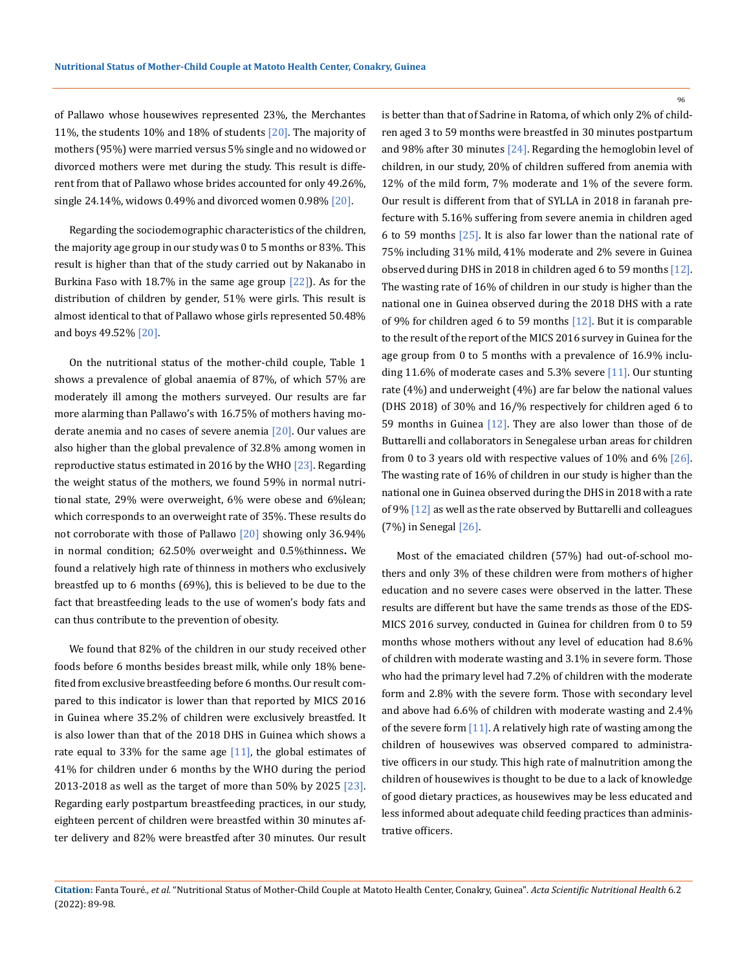of Pallawo whose housewives represented 23%, the Merchantes 11%, the students 10% and 18% of students [20]. The majority of mothers (95%) were married versus 5% single and no widowed or divorced mothers were met during the study. This result is different from that of Pallawo whose brides accounted for only 49.26%, single 24.14%, widows  $0.49\%$  and divorced women  $0.98\%$  [20].

Regarding the sociodemographic characteristics of the children, the majority age group in our study was 0 to 5 months or 83%. This result is higher than that of the study carried out by Nakanabo in Burkina Faso with 18.7% in the same age group [22]). As for the distribution of children by gender, 51% were girls. This result is almost identical to that of Pallawo whose girls represented 50.48% and boys 49.52% [20].

On the nutritional status of the mother-child couple, Table 1 shows a prevalence of global anaemia of 87%, of which 57% are moderately ill among the mothers surveyed. Our results are far more alarming than Pallawo's with 16.75% of mothers having moderate anemia and no cases of severe anemia  $[20]$ . Our values are also higher than the global prevalence of 32.8% among women in reproductive status estimated in 2016 by the WHO  $[23]$ . Regarding the weight status of the mothers, we found 59% in normal nutritional state, 29% were overweight, 6% were obese and 6%lean; which corresponds to an overweight rate of 35%. These results do not corroborate with those of Pallawo [20] showing only 36.94% in normal condition; 62.50% overweight and 0.5%thinness**.** We found a relatively high rate of thinness in mothers who exclusively breastfed up to 6 months (69%), this is believed to be due to the fact that breastfeeding leads to the use of women's body fats and can thus contribute to the prevention of obesity.

We found that 82% of the children in our study received other foods before 6 months besides breast milk, while only 18% benefited from exclusive breastfeeding before 6 months. Our result compared to this indicator is lower than that reported by MICS 2016 in Guinea where 35.2% of children were exclusively breastfed. It is also lower than that of the 2018 DHS in Guinea which shows a rate equal to 33% for the same age  $[11]$ , the global estimates of 41% for children under 6 months by the WHO during the period 2013-2018 as well as the target of more than 50% by 2025 [23]. Regarding early postpartum breastfeeding practices, in our study, eighteen percent of children were breastfed within 30 minutes after delivery and 82% were breastfed after 30 minutes. Our result

is better than that of Sadrine in Ratoma, of which only 2% of children aged 3 to 59 months were breastfed in 30 minutes postpartum and 98% after 30 minutes [24]. Regarding the hemoglobin level of children, in our study, 20% of children suffered from anemia with 12% of the mild form, 7% moderate and 1% of the severe form. Our result is different from that of SYLLA in 2018 in faranah prefecture with 5.16% suffering from severe anemia in children aged 6 to 59 months [25]. It is also far lower than the national rate of 75% including 31% mild, 41% moderate and 2% severe in Guinea observed during DHS in 2018 in children aged 6 to 59 months [12]. The wasting rate of 16% of children in our study is higher than the national one in Guinea observed during the 2018 DHS with a rate of 9% for children aged 6 to 59 months [12]. But it is comparable to the result of the report of the MICS 2016 survey in Guinea for the age group from 0 to 5 months with a prevalence of 16.9% including 11.6% of moderate cases and 5.3% severe [11]. Our stunting rate (4%) and underweight (4%) are far below the national values (DHS 2018) of 30% and 16/% respectively for children aged 6 to 59 months in Guinea [12]. They are also lower than those of de Buttarelli and collaborators in Senegalese urban areas for children from 0 to 3 years old with respective values of 10% and 6%  $[26]$ . The wasting rate of 16% of children in our study is higher than the national one in Guinea observed during the DHS in 2018 with a rate of 9% [12] as well as the rate observed by Buttarelli and colleagues (7%) in Senegal [26].

Most of the emaciated children (57%) had out-of-school mothers and only 3% of these children were from mothers of higher education and no severe cases were observed in the latter. These results are different but have the same trends as those of the EDS-MICS 2016 survey, conducted in Guinea for children from 0 to 59 months whose mothers without any level of education had 8.6% of children with moderate wasting and 3.1% in severe form. Those who had the primary level had 7.2% of children with the moderate form and 2.8% with the severe form. Those with secondary level and above had 6.6% of children with moderate wasting and 2.4% of the severe form [11]. A relatively high rate of wasting among the children of housewives was observed compared to administrative officers in our study. This high rate of malnutrition among the children of housewives is thought to be due to a lack of knowledge of good dietary practices, as housewives may be less educated and less informed about adequate child feeding practices than administrative officers.

**Citation:** Fanta Touré*., et al.* "Nutritional Status of Mother-Child Couple at Matoto Health Center, Conakry, Guinea". *Acta Scientific Nutritional Health* 6.2 (2022): 89-98.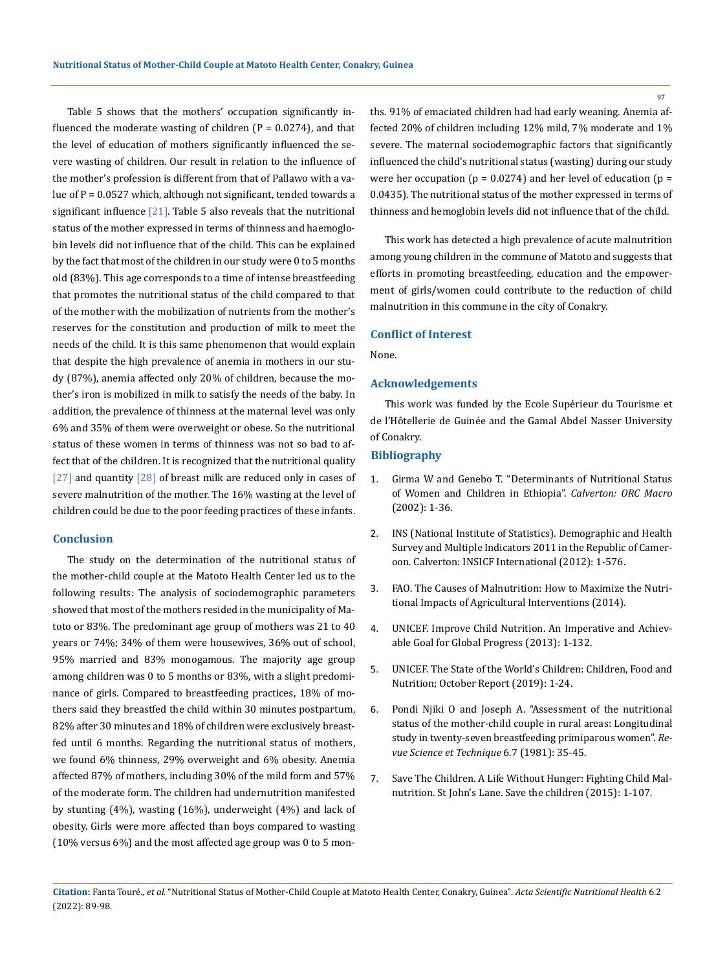Table 5 shows that the mothers' occupation significantly influenced the moderate wasting of children  $(P = 0.0274)$ , and that the level of education of mothers significantly influenced the severe wasting of children. Our result in relation to the influence of the mother's profession is different from that of Pallawo with a value of P = 0.0527 which, although not significant, tended towards a significant influence  $[21]$ . Table 5 also reveals that the nutritional status of the mother expressed in terms of thinness and haemoglobin levels did not influence that of the child. This can be explained by the fact that most of the children in our study were 0 to 5 months old (83%). This age corresponds to a time of intense breastfeeding that promotes the nutritional status of the child compared to that of the mother with the mobilization of nutrients from the mother's reserves for the constitution and production of milk to meet the needs of the child. It is this same phenomenon that would explain that despite the high prevalence of anemia in mothers in our study (87%), anemia affected only 20% of children, because the mother's iron is mobilized in milk to satisfy the needs of the baby. In addition, the prevalence of thinness at the maternal level was only 6% and 35% of them were overweight or obese. So the nutritional status of these women in terms of thinness was not so bad to affect that of the children. It is recognized that the nutritional quality [27] and quantity [28] of breast milk are reduced only in cases of severe malnutrition of the mother. The 16% wasting at the level of children could be due to the poor feeding practices of these infants.

#### **Conclusion**

The study on the determination of the nutritional status of the mother-child couple at the Matoto Health Center led us to the following results: The analysis of sociodemographic parameters showed that most of the mothers resided in the municipality of Matoto or 83%. The predominant age group of mothers was 21 to 40 years or 74%; 34% of them were housewives, 36% out of school, 95% married and 83% monogamous. The majority age group among children was 0 to 5 months or 83%, with a slight predominance of girls. Compared to breastfeeding practices, 18% of mothers said they breastfed the child within 30 minutes postpartum, 82% after 30 minutes and 18% of children were exclusively breastfed until 6 months. Regarding the nutritional status of mothers, we found 6% thinness, 29% overweight and 6% obesity. Anemia affected 87% of mothers, including 30% of the mild form and 57% of the moderate form. The children had undernutrition manifested by stunting (4%), wasting (16%), underweight (4%) and lack of obesity. Girls were more affected than boys compared to wasting (10% versus 6%) and the most affected age group was 0 to 5 months. 91% of emaciated children had had early weaning. Anemia affected 20% of children including 12% mild, 7% moderate and 1% severe. The maternal sociodemographic factors that significantly influenced the child's nutritional status (wasting) during our study were her occupation ( $p = 0.0274$ ) and her level of education ( $p =$ 0.0435). The nutritional status of the mother expressed in terms of thinness and hemoglobin levels did not influence that of the child.

This work has detected a high prevalence of acute malnutrition among young children in the commune of Matoto and suggests that efforts in promoting breastfeeding, education and the empowerment of girls/women could contribute to the reduction of child malnutrition in this commune in the city of Conakry.

#### **Conflict of Interest**

#### None.

#### **Acknowledgements**

This work was funded by the Ecole Supérieur du Tourisme et de l'Hôtellerie de Guinée and the Gamal Abdel Nasser University of Conakry.

### **Bibliography**

- 1. [Girma W and Genebo T. "Determinants of Nutritional Status](https://dhsprogram.com/pubs/pdf/fa39/02-nutrition.pdf)  [of Women and Children in Ethiopia".](https://dhsprogram.com/pubs/pdf/fa39/02-nutrition.pdf) *Calverton: ORC Macro* [\(2002\): 1-36.](https://dhsprogram.com/pubs/pdf/fa39/02-nutrition.pdf)
- 2. [INS \(National Institute of Statistics\). Demographic and Health](https://dhsprogram.com/pubs/pdf/fa39/02-nutrition.pdf)  [Survey and Multiple Indicators 2011 in the Republic of Camer](https://dhsprogram.com/pubs/pdf/fa39/02-nutrition.pdf)[oon. Calverton: INSICF International \(2012\): 1-576.](https://dhsprogram.com/pubs/pdf/fa39/02-nutrition.pdf)
- 3. FAO. The Causes of Malnutrition: How to Maximize the Nutritional Impacts of Agricultural Interventions (2014).
- 4. [UNICEF. Improve Child Nutrition. An Imperative and Achiev](https://www.unicef.org/media/63016/file/SOWC-2019.pdf)[able Goal for Global Progress \(2013\): 1-132.](https://www.unicef.org/media/63016/file/SOWC-2019.pdf)
- 5. [UNICEF. The State of the World's Children: Children, Food and](https://data.unicef.org/resources/state-of-the-worlds-children-2019/)  [Nutrition; October Report \(2019\): 1-24.](https://data.unicef.org/resources/state-of-the-worlds-children-2019/)
- 6. [Pondi Njiki O and Joseph A. "Assessment of the nutritional](https://pubmed.ncbi.nlm.nih.gov/9602407/)  [status of the mother-child couple in rural areas: Longitudinal](https://pubmed.ncbi.nlm.nih.gov/9602407/)  [study in twenty-seven breastfeeding primiparous women".](https://pubmed.ncbi.nlm.nih.gov/9602407/) *Re[vue Science et Technique](https://pubmed.ncbi.nlm.nih.gov/9602407/)* 6.7 (1981): 35-45.
- 7. Save The Children. A Life Without Hunger: Fighting Child Malnutrition. St John's Lane. Save the children (2015): 1-107.

**Citation:** Fanta Touré*., et al.* "Nutritional Status of Mother-Child Couple at Matoto Health Center, Conakry, Guinea". *Acta Scientific Nutritional Health* 6.2 (2022): 89-98.